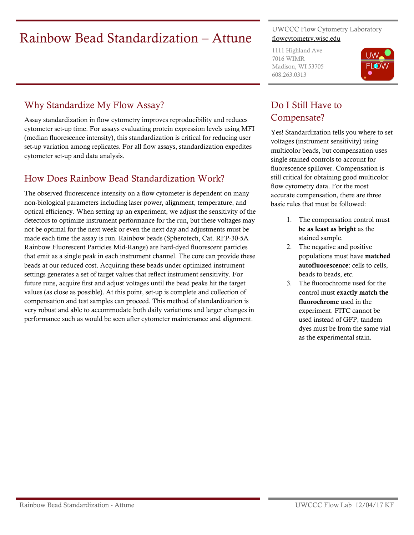# Exainbow Bead Standardization – Attune UWCCC Flow Cytometry Laboratory

#### Why Standardize My Flow Assay?

Assay standardization in flow cytometry improves reproducibility and reduces cytometer set-up time. For assays evaluating protein expression levels using MFI (median fluorescence intensity), this standardization is critical for reducing user set-up variation among replicates. For all flow assays, standardization expedites cytometer set-up and data analysis.

#### How Does Rainbow Bead Standardization Work?

The observed fluorescence intensity on a flow cytometer is dependent on many non-biological parameters including laser power, alignment, temperature, and optical efficiency. When setting up an experiment, we adjust the sensitivity of the detectors to optimize instrument performance for the run, but these voltages may not be optimal for the next week or even the next day and adjustments must be made each time the assay is run. Rainbow beads (Spherotech, Cat. RFP-30-5A Rainbow Fluorescent Particles Mid-Range) are hard-dyed fluorescent particles that emit as a single peak in each instrument channel. The core can provide these beads at our reduced cost. Acquiring these beads under optimized instrument settings generates a set of target values that reflect instrument sensitivity. For future runs, acquire first and adjust voltages until the bead peaks hit the target values (as close as possible). At this point, set-up is complete and collection of compensation and test samples can proceed. This method of standardization is very robust and able to accommodate both daily variations and larger changes in performance such as would be seen after cytometer maintenance and alignment.

# flowcytometry.wisc.edu

1111 Highland Ave 7016 WIMR Madison, WI 53705 608.263.0313



# Do I Still Have to Compensate?

Yes! Standardization tells you where to set voltages (instrument sensitivity) using multicolor beads, but compensation uses single stained controls to account for fluorescence spillover. Compensation is still critical for obtaining good multicolor flow cytometry data. For the most accurate compensation, there are three basic rules that must be followed:

- 1. The compensation control must be as least as bright as the stained sample.
- 2. The negative and positive populations must have matched autofluorescence: cells to cells, beads to beads, etc.
- 3. The fluorochrome used for the control must exactly match the fluorochrome used in the experiment. FITC cannot be used instead of GFP, tandem dyes must be from the same vial as the experimental stain.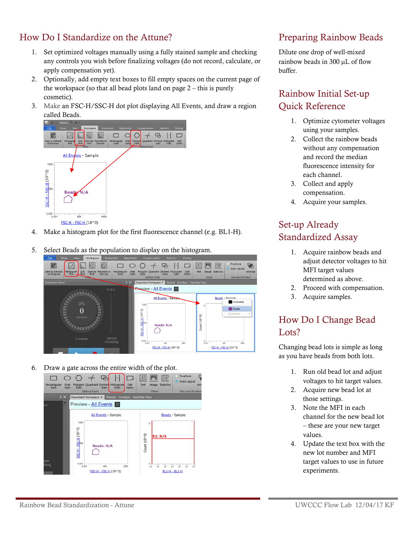#### How Do I Standardize on the Attune?

- 1. Set optimized voltages manually using a fully stained sample and checking any controls you wish before finalizing voltages (do not record, calculate, or apply compensation yet).
- 2. Optionally, add empty text boxes to fill empty spaces on the current page of the workspace (so that all bead plots land on page  $2$  – this is purely cosmetic).
- 3. Make an FSC-H/SSC-H dot plot displaying All Events, and draw a region called Beads.



- 4. Make a histogram plot for the first fluorescence channel (e.g. BL1-H).
- 5. Select Beads as the population to display on the histogram.



6. Draw a gate across the entire width of the plot.



#### Preparing Rainbow Beads

Dilute one drop of well-mixed rainbow beads in 300 µL of flow buffer.

# Rainbow Initial Set-up Quick Reference

- 1. Optimize cytometer voltages using your samples.
- 2. Collect the rainbow beads without any compensation and record the median fluorescence intensity for each channel.
- 3. Collect and apply compensation.
- 4. Acquire your samples.

# Set-up Already Standardized Assay

- 1. Acquire rainbow beads and adjust detector voltages to hit MFI target values determined as above.
- 2. Proceed with compensation.
- 3. Acquire samples.

# How Do I Change Bead Lots?

Changing bead lots is simple as long as you have beads from both lots.

- 1. Run old bead lot and adjust voltages to hit target values.
- 2. Acquire new bead lot at those settings.
- 3. Note the MFI in each channel for the new bead lot – these are your new target values.
- 4. Update the text box with the new lot number and MFI target values to use in future experiments.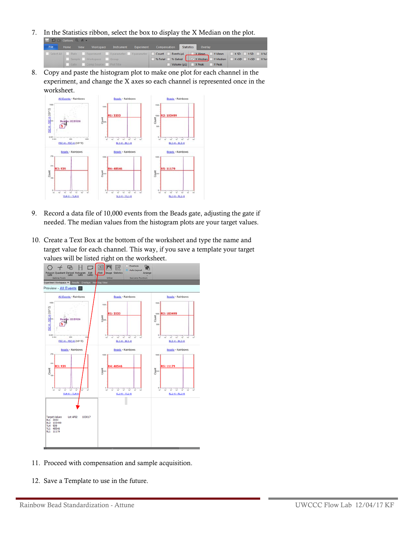7. In the Statistics ribbon, select the box to display the X Median on the plot.

| $\sim$ |  |  |                             |  |  |                                                                           |  |                           |                                                      |
|--------|--|--|-----------------------------|--|--|---------------------------------------------------------------------------|--|---------------------------|------------------------------------------------------|
| File   |  |  |                             |  |  | Home View Workspace Instrument Experiment Compensation Statistics Overlay |  |                           |                                                      |
|        |  |  |                             |  |  |                                                                           |  |                           |                                                      |
|        |  |  | Sample Workspace Group      |  |  |                                                                           |  |                           | S Total S Gated V X Median Y Median X rSD Y 15D X %r |
|        |  |  | Gate Comp Source Plot Title |  |  |                                                                           |  | Volume (µL) X Peak Y Peak |                                                      |

8. Copy and paste the histogram plot to make one plot for each channel in the experiment, and change the X axes so each channel is represented once in the worksheet.



- 9. Record a data file of 10,000 events from the Beads gate, adjusting the gate if needed. The median values from the histogram plots are your target values.
- 10. Create a Text Box at the bottom of the worksheet and type the name and target value for each channel. This way, if you save a template your target values will be listed right on the worksheet.



- 11. Proceed with compensation and sample acquisition.
- 12. Save a Template to use in the future.